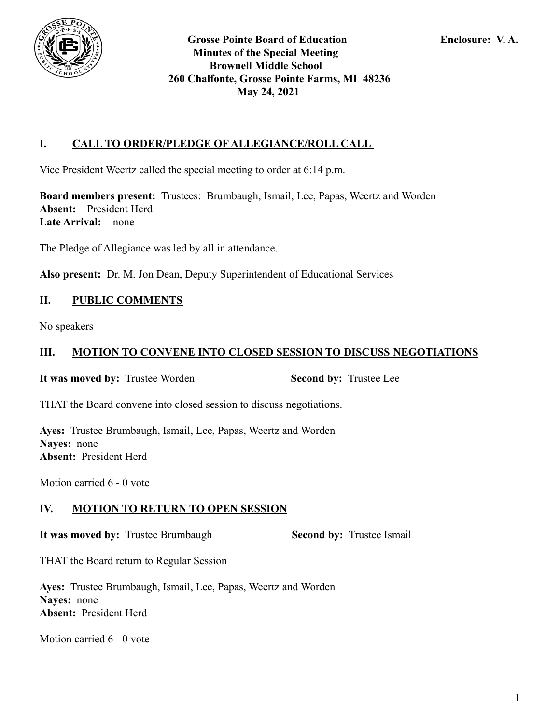

## **I. CALL TO ORDER/PLEDGE OF ALLEGIANCE/ROLL CALL**

Vice President Weertz called the special meeting to order at 6:14 p.m.

**Board members present:** Trustees: Brumbaugh, Ismail, Lee, Papas, Weertz and Worden **Absent:** President Herd **Late Arrival:** none

The Pledge of Allegiance was led by all in attendance.

**Also present:** Dr. M. Jon Dean, Deputy Superintendent of Educational Services

### **II. PUBLIC COMMENTS**

No speakers

### **III. MOTION TO CONVENE INTO CLOSED SESSION TO DISCUSS NEGOTIATIONS**

**It was moved by:** Trustee Worden **Second by:** Trustee Lee

THAT the Board convene into closed session to discuss negotiations.

**Ayes:** Trustee Brumbaugh, Ismail, Lee, Papas, Weertz and Worden **Nayes:** none **Absent:** President Herd

Motion carried 6 - 0 vote

### **IV. MOTION TO RETURN TO OPEN SESSION**

**It was moved by:** Trustee Brumbaugh **Second by:** Trustee Ismail

THAT the Board return to Regular Session

**Ayes:** Trustee Brumbaugh, Ismail, Lee, Papas, Weertz and Worden **Nayes:** none **Absent:** President Herd

Motion carried 6 - 0 vote